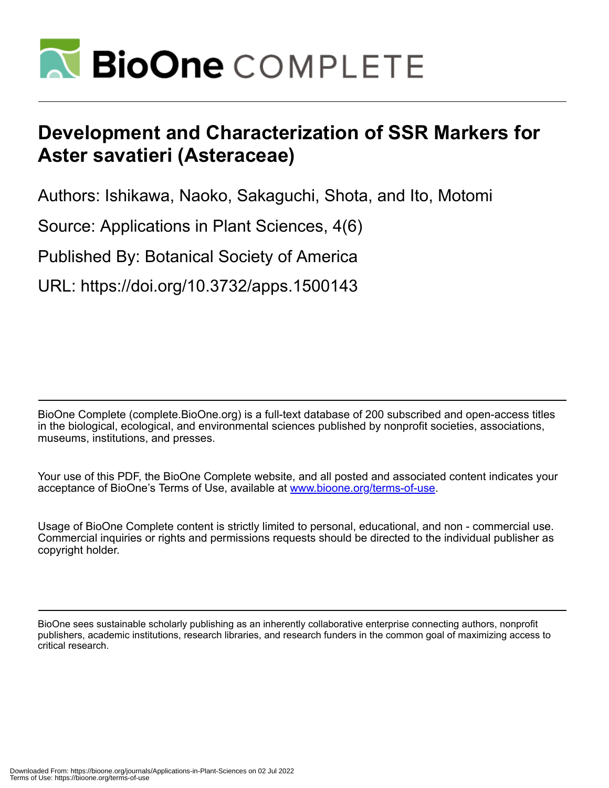

# **Development and Characterization of SSR Markers for Aster savatieri (Asteraceae)**

Authors: Ishikawa, Naoko, Sakaguchi, Shota, and Ito, Motomi

Source: Applications in Plant Sciences, 4(6)

Published By: Botanical Society of America

URL: https://doi.org/10.3732/apps.1500143

BioOne Complete (complete.BioOne.org) is a full-text database of 200 subscribed and open-access titles in the biological, ecological, and environmental sciences published by nonprofit societies, associations, museums, institutions, and presses.

Your use of this PDF, the BioOne Complete website, and all posted and associated content indicates your acceptance of BioOne's Terms of Use, available at www.bioone.org/terms-of-use.

Usage of BioOne Complete content is strictly limited to personal, educational, and non - commercial use. Commercial inquiries or rights and permissions requests should be directed to the individual publisher as copyright holder.

BioOne sees sustainable scholarly publishing as an inherently collaborative enterprise connecting authors, nonprofit publishers, academic institutions, research libraries, and research funders in the common goal of maximizing access to critical research.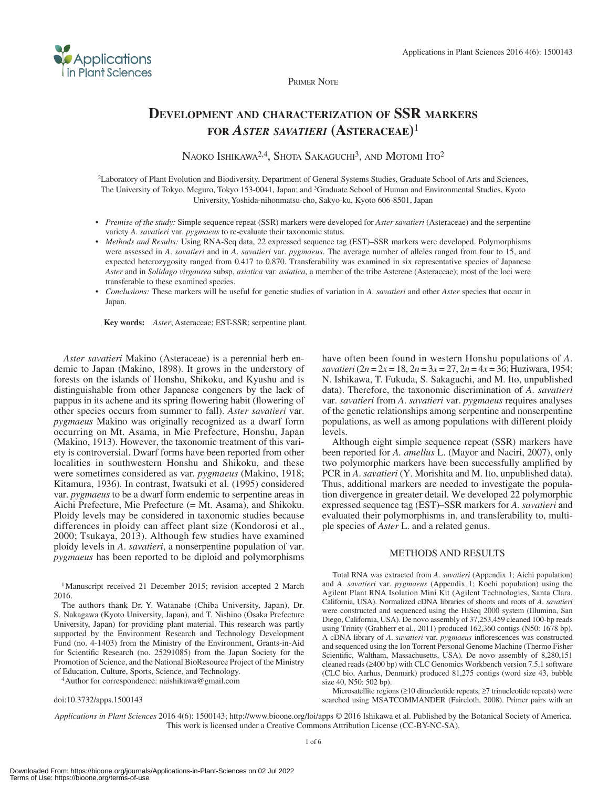

Primer Note

# **Development and characterization of SSR markers for** *Aster savatieri* **(Asteraceae)**<sup>1</sup>

NAOKO ISHIKAWA<sup>2,4</sup>, SHOTA SAKAGUCHI<sup>3</sup>, AND MOTOMI ITO<sup>2</sup>

2Laboratory of Plant Evolution and Biodiversity, Department of General Systems Studies, Graduate School of Arts and Sciences, The University of Tokyo, Meguro, Tokyo 153-0041, Japan; and 3Graduate School of Human and Environmental Studies, Kyoto University, Yoshida-nihonmatsu-cho, Sakyo-ku, Kyoto 606-8501, Japan

- • *Premise of the study:* Simple sequence repeat (SSR) markers were developed for *Aster savatieri* (Asteraceae) and the serpentine variety *A*. *savatieri* var. *pygmaeus* to re-evaluate their taxonomic status.
- • *Methods and Results:* Using RNA-Seq data, 22 expressed sequence tag (EST)–SSR markers were developed. Polymorphisms were assessed in *A*. *savatieri* and in *A*. *savatieri* var. *pygmaeus*. The average number of alleles ranged from four to 15, and expected heterozygosity ranged from 0.417 to 0.870. Transferability was examined in six representative species of Japanese *Aster* and in *Solidago virgaurea* subsp. *asiatica* var. *asiatica*, a member of the tribe Astereae (Asteraceae); most of the loci were transferable to these examined species.
- *Conclusions:* These markers will be useful for genetic studies of variation in *A*. *savatieri* and other *Aster* species that occur in Japan.

**Key words:** *Aster*; Asteraceae; EST-SSR; serpentine plant.

*Aster savatieri* Makino (Asteraceae) is a perennial herb endemic to Japan (Makino, 1898). It grows in the understory of forests on the islands of Honshu, Shikoku, and Kyushu and is distinguishable from other Japanese congeners by the lack of pappus in its achene and its spring flowering habit (flowering of other species occurs from summer to fall). *Aster savatieri* var. *pygmaeus* Makino was originally recognized as a dwarf form occurring on Mt. Asama, in Mie Prefecture, Honshu, Japan (Makino, 1913). However, the taxonomic treatment of this variety is controversial. Dwarf forms have been reported from other localities in southwestern Honshu and Shikoku, and these were sometimes considered as var. *pygmaeus* (Makino, 1918; Kitamura, 1936). In contrast, Iwatsuki et al. (1995) considered var. *pygmaeus* to be a dwarf form endemic to serpentine areas in Aichi Prefecture, Mie Prefecture (= Mt. Asama), and Shikoku. Ploidy levels may be considered in taxonomic studies because differences in ploidy can affect plant size (Kondorosi et al., 2000; Tsukaya, 2013). Although few studies have examined ploidy levels in *A*. *savatieri*, a nonserpentine population of var. *pygmaeus* has been reported to be diploid and polymorphisms

1Manuscript received 21 December 2015; revision accepted 2 March 2016.

The authors thank Dr. Y. Watanabe (Chiba University, Japan), Dr. S. Nakagawa (Kyoto University, Japan), and T. Nishino (Osaka Prefecture University, Japan) for providing plant material. This research was partly supported by the Environment Research and Technology Development Fund (no. 4-1403) from the Ministry of the Environment, Grants-in-Aid for Scientific Research (no. 25291085) from the Japan Society for the Promotion of Science, and the National BioResource Project of the Ministry of Education, Culture, Sports, Science, and Technology.

4Author for correspondence: naishikawa@gmail.com

doi:10.3732/apps.1500143

have often been found in western Honshu populations of *A*. *savatieri* (2*n* = 2*x* = 18, 2*n* = 3*x* = 27, 2*n* = 4*x* = 36; Huziwara, 1954; N. Ishikawa, T. Fukuda, S. Sakaguchi, and M. Ito, unpublished data). Therefore, the taxonomic discrimination of *A*. *savatieri* var. *savatieri* from *A*. *savatieri* var. *pygmaeus* requires analyses of the genetic relationships among serpentine and nonserpentine populations, as well as among populations with different ploidy levels.

Although eight simple sequence repeat (SSR) markers have been reported for *A. amellus* L. (Mayor and Naciri, 2007), only two polymorphic markers have been successfully amplified by PCR in *A*. *savatieri* (Y. Morishita and M. Ito, unpublished data). Thus, additional markers are needed to investigate the population divergence in greater detail. We developed 22 polymorphic expressed sequence tag (EST)–SSR markers for *A. savatieri* and evaluated their polymorphisms in, and transferability to, multiple species of *Aster* L. and a related genus.

## METHODS AND RESULTS

Total RNA was extracted from *A. savatieri* (Appendix 1; Aichi population) and *A*. *savatieri* var. *pygmaeus* (Appendix 1; Kochi population) using the Agilent Plant RNA Isolation Mini Kit (Agilent Technologies, Santa Clara, California, USA). Normalized cDNA libraries of shoots and roots of *A*. *savatieri* were constructed and sequenced using the HiSeq 2000 system (Illumina, San Diego, California, USA). De novo assembly of 37,253,459 cleaned 100-bp reads using Trinity (Grabherr et al., 2011) produced 162,360 contigs (N50: 1678 bp). A cDNA library of *A*. *savatieri* var. *pygmaeus* inflorescences was constructed and sequenced using the Ion Torrent Personal Genome Machine (Thermo Fisher Scientific, Waltham, Massachusetts, USA). De novo assembly of 8,280,151 cleaned reads (≥400 bp) with CLC Genomics Workbench version 7.5.1 software (CLC bio, Aarhus, Denmark) produced 81,275 contigs (word size 43, bubble size 40, N50: 502 bp).

Microsatellite regions (≥10 dinucleotide repeats, ≥7 trinucleotide repeats) were searched using MSATCOMMANDER (Faircloth, 2008). Primer pairs with an

*Applications in Plant Sciences* 2016 4(6): 1500143; http://www.bioone.org/loi/apps © 2016 Ishikawa et al. Published by the Botanical Society of America. This work is licensed under a Creative Commons Attribution License (CC-BY-NC-SA).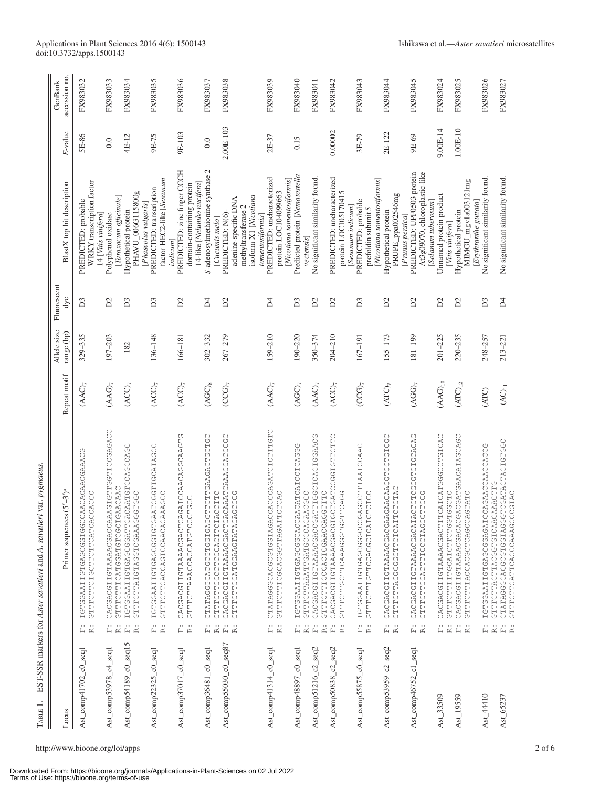| TABLE 1.                                 | var. pygmaeus.<br>EST-SSR markers for Aster savatieri and A. savatieri                                                                                                       |                                    |                           |                         |                                                                                                            |             |                          |
|------------------------------------------|------------------------------------------------------------------------------------------------------------------------------------------------------------------------------|------------------------------------|---------------------------|-------------------------|------------------------------------------------------------------------------------------------------------|-------------|--------------------------|
| Locus                                    | $(5' - 3')^a$<br>Primer sequences                                                                                                                                            | Repeat motif                       | Allele size<br>range (bp) | Fluorescent<br>dye      | BlastX top hit description                                                                                 | E-value     | accession no.<br>GenBank |
| Ast_comp41702_c0_seq1                    | TCTGAATTTGAATTGCCCCCAACAACAACAACGAACG<br><b>COOROOROPROPPOOPDOPPOPPDFD</b><br>$\begin{array}{c} \ldots \\ \boxdot \, \\ \boxdot \, \end{array}$                              | $(AAC)$ <sub>7</sub>               | 329-335                   | $\overline{D}3$         | WRKY transcription factor<br>PREDICTED: probable<br>14 [Vitis vinifera]                                    | 5E-86       | FX983032                 |
| Ast_comp53978_c4_seq1                    | CACGACGTTGTAAAACGACCAAAGTGTTGGTTCCGAGAGCC<br>GTTTCTTTCATGGATGGCTGAACAAC<br>$\ldots$<br>$\ddot{\tilde{\kappa}}$<br>Ĺц                                                         | ${\rm (AAG)_7}$                    | 197-203                   | D2                      | [Taraxacum officinale]<br>Polyphenol oxidase                                                               | $0.0\,$     | FX983033                 |
| Ast_comp54189_c0_seq15                   | TGTGGAATTGTGAGCGATTCACAATGTCCAGCCAGC<br>GTTCTTATGTAAAAGGTGGTGC<br>$\ddot{\tilde{K}}$<br>$\stackrel{\leftrightarrow}{\mathbb{H}}$                                             | $(ACC)_{7}$                        | 182                       | D <sub>3</sub>          | PHAVU_006G115800g<br>Hypothetical protein                                                                  | 4E-12       | FX983034                 |
| Ast_comp22325_c0_seq1                    | COORROOPFOOORATGAATOOOROOPFOTTAAT<br>GTTTCTTCAGCCAACACAACAAGCC<br>$\begin{array}{c} \ldots \\ \boxdot \; \boxdot \end{array}$                                                | (ACC)                              | 136-148                   | D <sub>3</sub>          | factor HEC2-like [Sesamum<br>PREDICTED: transcription<br>[Phaseolus vulgaris]                              | 9E-75       | FX983035                 |
| Ast_comp37017_c0_seq1                    | CACGACGTTGTAAAACGACTCAGATCCAACAGCCAAGTG<br><b>しいじけいしいけいはいしょりしょうかんかいけい</b><br>$\ddot{\Xi}$ $\dddot{\Xi}$                                                                      | (ACC)                              | 166-181                   | $\sum$                  | PREDICTED: zinc finger CCCH<br>14-like [Nelumbo nucifera]<br>domain-containing protein<br><i>indicum</i> ] | 9E-103      | FX983036                 |
| Ast_comp36481_c0_seq1                    | GTTCCTGCCCCOODDOORCCTC<br>$\ddot{\mathbf{r}}$<br>$\ddot{\cong}$                                                                                                              | $(AGC)_{8}$                        | $302 - 332$               | $\overline{\mathsf{d}}$ | S-adenosylmethionine synthase 2<br>[Cucumis melo]                                                          | 0.0         | FX983037                 |
| $\text{Ast\_comp55030\_c0\_seq87}$       | CACGACGTGTAAAACGACTCACAAATCAAACCACCGC<br>GTTTCTRGAAGTATOCHCOAGG<br>$\stackrel{\leftrightarrow}{\mathbb{H}}$<br>$\ddot{\tilde{K}}$                                            | $(CCG)$ <sub>7</sub>               | 267-279                   | D2                      | isoform X1 [Nicotiana<br>adenine-specific DNA<br>methyltransferase 2<br>PREDICTED: N(6)-                   | $2.00E-103$ | FX983038                 |
| Ast_comp41314_c0_seq1                    | CTATAGGGCACGGTAGACCACCAGATCTTTTGTC<br>CACHOLEAGALEOCOCOOROPHEDEED<br>$\begin{array}{c} \ldots \\ \boxdot \; \boxdot \end{array}$                                             | (AAC)                              | $159 - 210$               | $\overline{\mathsf{d}}$ | PREDICTED: uncharacterized<br>protein LOC104099663<br>tomentosifornis]                                     | 2E-37       | FX983039                 |
| Ast_comp48897_c0_seq1                    | COOKCHOOHKOHKOKKOOKOOOOOKOHOHHKKOOHOH<br>GTTTCTTAAATTGATGCCCACAACGCC<br>$\ddot{\textrm{\tiny m}}$<br>Ĺц                                                                      | $(AGC)_{7}$                        | $190 - 220$               | D <sub>3</sub>          | Predicted protein [Nematostella<br>[Nicotiana tomentosiformis]<br>vector <i>s</i>                          | 0.15        | FX983040                 |
| Ast_comp51216_c2_seq2                    | CACGACGTTGTAAAACGACCGATTGCTCACTGGAACG<br>CTTTCCACCACCCCCOOPFFFOFFFC<br>$\stackrel{\leftrightarrow}{\mathbb{H}}$<br>$\ddot{\simeq}$                                           | $\left( \mathrm{AAC}\right) _{7}$  | $350 - 374$               | $\mathcal{D}^2$         | No significant similarity found.                                                                           |             | FX983041                 |
| Ast_comp50838_c2_seq2                    | CACGACGTTGTAAAACGACGTGATCCGGTGTTCTTC<br>GTTTCTTGCTTCAAAGGTTCAAGG<br>$\stackrel{}{\scriptscriptstyle{\simeq}}\stackrel{}{\scriptscriptstyle{\simeq}}$                         | (ACC)                              | $204 - 210$               | $\mathbf{D}2$           | PREDICTED: uncharacterized<br>protein LOC105170415<br>[Sesamum indicum]                                    | 0.00002     | FX983042                 |
| $\text{Ast\_comp55875}\_\text{c0\_seq1}$ | TGTGGAATTGTGAGCGGCCCAGCCTTTAATCCAAC<br>CONFUNICACCONCORPORTED<br>$\begin{array}{c} \vdots \\ \mathbb{E} \end{array} \begin{array}{c} \vdots \\ \mathbb{E} \end{array}$       | $(CCG)$ <sub>7</sub>               | 167-191                   | D <sub>3</sub>          | PREDICTED: probable<br>prefoldin subunit 5                                                                 | 3E-79       | FX983043                 |
| $-$ seq2<br>Ast_comp53959_c2             | CACGACGTOTTGTAAAACGACGAAGAAGGTOGTGTGTGC<br>CTTTCTAGGGGGGGGGGTTCTCTC<br>$\begin{array}{c} \vdots \\ \mathbb{E} \end{array} \begin{array}{c} \vdots \\ \mathbb{E} \end{array}$ | $(ATC)$ <sub>7</sub>               | $155 - 173$               | $\tilde{D}$             | [Nicotiana tomentosiformis]<br>PRUPE_ppa002546mg<br>Hypothetical protein                                   | 2E-122      | FX983044                 |
| Ast_comp46752_c1_seq1                    | CACGACGTTGTAAAACGACATACTCGGTCGTCACACAC<br><b>COORFOORFOODFFFORCOFFFORFFC</b><br>$\begin{array}{c} \ldots \\ \boxdot \; \boxdot \end{array}$                                  | $(AGG)_{7}$                        | $181 - 199$               | $\mathsf{D}2$           | PREDICTED: UPF0503 protein<br>At3g09070, chloroplastic-like<br>[Solanum tuberosum]<br>[Prunus persica]     | 9E-69       | FX983045                 |
| Ast_33509                                | CACGACGTTGTAAAACGACTTCATCATGGGCCTGTCAC<br><b>しらしりりけいけいけいけんじゅうけいけいけいけい</b><br>$\ddot{\tilde{E}}$<br>$\ddot{\simeq}$                                                           | $(AAG)_{10}$                       | $201 - 225$               | $\mathbb{Z}$            | Unnamed protein product<br>[Vitis vinifera]                                                                | $9.00E-14$  | FX983024                 |
| Ast_19559                                | CACGACGTGTAAAACGACGACGATGAACATAGCAG<br>GTTTCTTTACCACCTCAGCAGTATC<br>$\begin{array}{cc} \ldots & \ldots \\ \boxdot & \boxdot \end{array}$                                     | $\left( \mathrm{ATC} \right)_{12}$ | $220 - 235$               | D2                      | MIMGU_mgv1a003121mg<br>Hypothetical protein                                                                | $1.00E-10$  | FX983025                 |
| Ast_44410                                | COORCORROCACORGAGAGOOOOROFUFFERACOFOF<br>GTTTCTTACTTACGTGTCAACAAACTTG<br>$\ddot{\tilde{E}}$<br>$\stackrel{\cdot}{\mathbb{K}}$                                                | $(ATC)_{11}$                       | 248-257                   | D <sub>3</sub>          | No significant similarity found.<br>[Erythranthe guttata]                                                  |             | FX983026                 |
| Ast_65237                                | CURRIALACOCOCONCONOUNCURONOUNCUR<br>GTTCTTCATTCAAAAGCCCCC<br>$\frac{1}{\ln 2}$<br>$\ddot{\tilde{K}}$                                                                         | $\left( \text{AC} \right)_{11}$    | $213 - 221$               | $\mathsf{D}4$           | No significant similarity found                                                                            |             | FX983027                 |

Applications in Plant Sciences 2016 4(6): 1500143 Ishikawa et al.—*Aster savatieri* microsatellites doi:10.3732/apps.1500143

http://www.bioone.org/loi/apps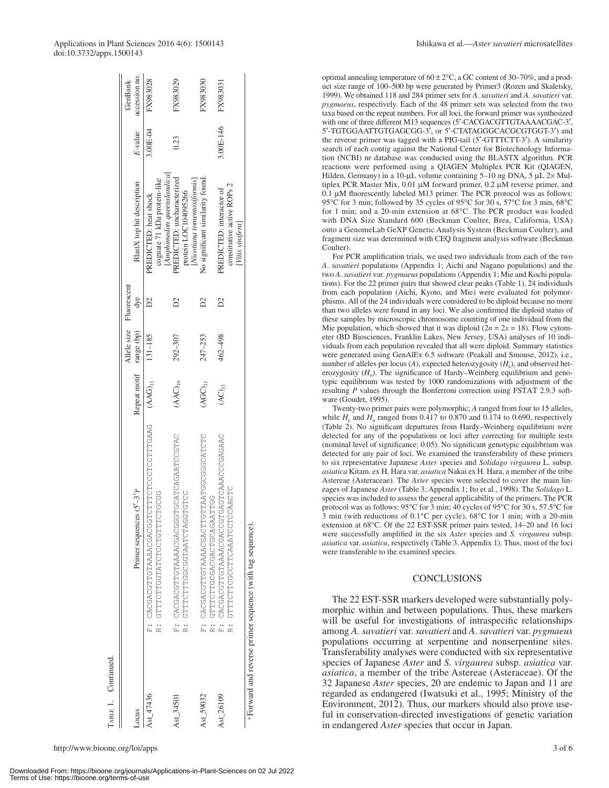### Applications in Plant Sciences 2016 4(6): 1500143 Ishikawa et al.—*Aster savatieri* microsatellites doi:10.3732/apps.1500143

|           |                                                                       |                                |         | Allele size Fluorescent |                                  |           | GenBank       |
|-----------|-----------------------------------------------------------------------|--------------------------------|---------|-------------------------|----------------------------------|-----------|---------------|
| -ocus     | Primer sequences $(5'-3')^n$                                          | Repeat motif range (bp) dye    |         |                         | BlastX top hit description       | E-value   | accession no. |
| Ast 47436 |                                                                       |                                |         |                         | PREDICTED: heat shock            | 3.00E-04  | FX983028      |
|           | UUUUHUHHUHUUHUHKHUUHHUHHHU :K                                         |                                |         |                         | cognate 71 kDa protein-like      |           |               |
|           |                                                                       |                                |         |                         | [Amphimedon queenslandica]       |           |               |
| Ast 34501 | UREUUUERRURUERUUEUUUUGUURRREEUEEUURUURU .ir                           | $(AAC)_{10}$                   | 292-307 |                         | PREDICTED: uncharacterized       | 0.23      | FX983029      |
|           | COROROOKRORKAROOOOORRROPFED .X                                        |                                |         |                         | protein LOC104095266             |           |               |
|           |                                                                       |                                |         |                         | $[Nicotiana\;tonensiformis]$     |           |               |
| Ast 59032 | UNICOUPOUPOLARENDENCORARENENENDENCORO : F                             | $(AGC)_{11}$                   | 247-253 |                         | No significant similarity found. |           | FX983030      |
|           | R: GTTCACGACGACCACCAGARTTG                                            |                                |         |                         |                                  |           |               |
| Ast 26109 | URGUOUUNGRUDEUGEUUUNGUORGUNGEUEUUUNUUKU                               | $\widetilde{\mathrm{AC}}_{11}$ | 462-498 |                         | PREDICTED: interactor of         | 3.00E-146 | FX983031      |
|           | CHORACOHOOHARACHHOOCOHHOHHHU · A                                      |                                |         |                         | constitutive active ROPs 2       |           |               |
|           |                                                                       |                                |         |                         | [Vitis vinifera]                 |           |               |
|           | <sup>a</sup> Forward and reverse primer sequence (with tag sequence). |                                |         |                         |                                  |           |               |

http://www.bioone.org/loi/apps 3 of 6

TABLE 1. Continued.

TABLE 1.

Continued

optimal annealing temperature of  $60 \pm 2$ °C, a GC content of 30–70%, and a product size range of 100–500 bp were generated by Primer3 (Rozen and Skaletsky, 1999). We obtained 118 and 284 primer sets for *A*. *savatieri* and *A*. *savatieri* var. *pygmaeus*, respectively. Each of the 48 primer sets was selected from the two taxa based on the repeat numbers. For all loci, the forward primer was synthesized with one of three different M13 sequences (5'-CACGACGTTGTAAAACGAC-3', 5′-TGTGGAATTGTGAGCGG-3′, or 5′-CTATAGGGCACGCGTGGT-3′) and the reverse primer was tagged with a PIG-tail (5′-GTTTCTT-3′). A similarity search of each contig against the National Center for Biotechnology Information (NCBI) nr database was conducted using the BLASTX algorithm. PCR reactions were performed using a QIAGEN Multiplex PCR Kit (QIAGEN, Hilden, Germany) in a 10-μL volume containing 5–10 ng DNA, 5 μL 2× Multiplex PCR Master Mix, 0.01 μM forward primer, 0.2 μM reverse primer, and 0.1 μM fluorescently labeled M13 primer. The PCR protocol was as follows: 95°C for 3 min; followed by 35 cycles of 95°C for 30 s, 57°C for 3 min, 68°C for 1 min; and a 20-min extension at 68°C. The PCR product was loaded with DNA Size Standard 600 (Beckman Coulter, Brea, California, USA) onto a GenomeLab GeXP Genetic Analysis System (Beckman Coulter), and fragment size was determined with CEQ fragment analysis software (Beckman Coulter).

For PCR amplification trials, we used two individuals from each of the two *A*. *savatieri* populations (Appendix 1; Aichi and Nagano populations) and the two *A*. *savatieri* var. *pygmaeus* populations (Appendix 1; Mie and Kochi populations). For the 22 primer pairs that showed clear peaks (Table 1), 24 individuals from each population (Aichi, Kyoto, and Mie) were evaluated for polymorphisms. All of the 24 individuals were considered to be diploid because no more than two alleles were found in any loci. We also confirmed the diploid status of these samples by microscopic chromosome counting of one individual from the Mie population, which showed that it was diploid  $(2n = 2x = 18)$ . Flow cytometer (BD Biosciences, Franklin Lakes, New Jersey, USA) analyses of 10 individuals from each population revealed that all were diploid. Summary statistics were generated using GenAlEx 6.5 software (Peakall and Smouse, 2012), i.e., number of alleles per locus (A), expected heterozygosity ( $H_e$ ), and observed heterozygosity  $(H_0)$ . The significance of Hardy–Weinberg equilibrium and genotypic equilibrium was tested by 1000 randomizations with adjustment of the resulting *P* values through the Bonferroni correction using FSTAT 2.9.3 software (Goudet, 1995).

Twenty-two primer pairs were polymorphic; *A* ranged from four to 15 alleles, while  $H_e$  and  $H_o$  ranged from 0.417 to 0.870 and 0.174 to 0.690, respectively (Table 2). No significant departures from Hardy–Weinberg equilibrium were detected for any of the populations or loci after correcting for multiple tests (nominal level of significance: 0.05). No significant genotypic equilibrium was detected for any pair of loci. We examined the transferability of these primers to six representative Japanese *Aster* species and *Solidago virgaurea* L. subsp. *asiatica* Kitam. ex H. Hara var. *asiatica* Nakai ex H. Hara, a member of the tribe Astereae (Asteraceae). The *Aster* species were selected to cover the main lineages of Japanese *Aster* (Table 3; Appendix 1; Ito et al., 1998). The *Solidago* L. species was included to assess the general applicability of the primers. The PCR protocol was as follows: 95°C for 3 min; 40 cycles of 95°C for 30 s, 57.5°C for 3 min (with reductions of 0.1°C per cycle), 68°C for 1 min; with a 20-min extension at 68°C. Of the 22 EST-SSR primer pairs tested, 14–20 and 16 loci were successfully amplified in the six *Aster* species and *S. virgaurea* subsp. *asiatica* var. *asiatica*, respectively (Table 3, Appendix 1). Thus, most of the loci were transferable to the examined species.

#### CONCLUSIONS

The 22 EST-SSR markers developed were substantially polymorphic within and between populations. Thus, these markers will be useful for investigations of intraspecific relationships among *A. savatieri* var. *savatieri* and *A*. *savatieri* var. *pygmaeus* populations occurring at serpentine and nonserpentine sites. Transferability analyses were conducted with six representative species of Japanese *Aster* and *S. virgaurea* subsp. *asiatica* var. *asiatica*, a member of the tribe Astereae (Asteraceae). Of the 32 Japanese *Aster* species, 20 are endemic to Japan and 11 are regarded as endangered (Iwatsuki et al., 1995; Ministry of the Environment, 2012). Thus, our markers should also prove useful in conservation-directed investigations of genetic variation in endangered *Aster* species that occur in Japan.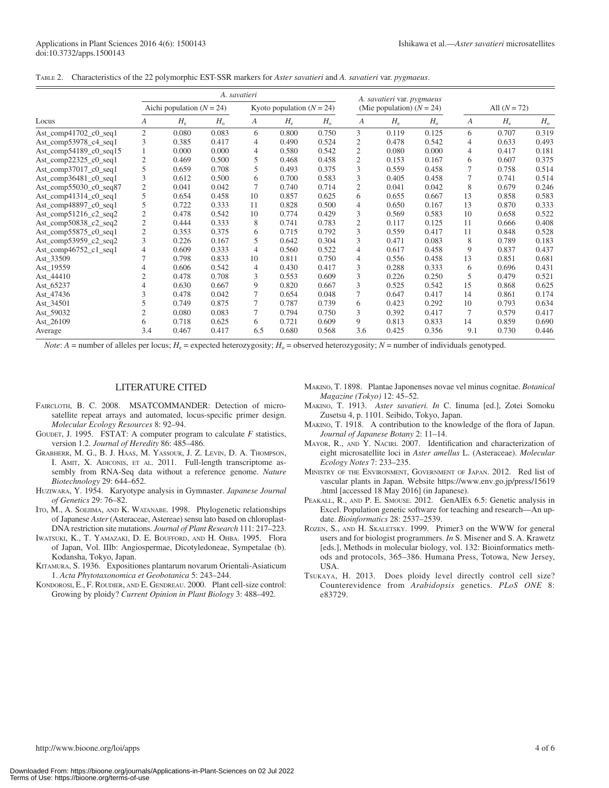|  | TABLE 2. Characteristics of the 22 polymorphic EST-SSR markers for Aster savatieri and A. savatieri var. pygmaeus. |  |
|--|--------------------------------------------------------------------------------------------------------------------|--|
|--|--------------------------------------------------------------------------------------------------------------------|--|

|                               |                |                             | A. savatieri |                |                             |             | A. savatieri var. pygmaeus |                             |             |                |                |             |
|-------------------------------|----------------|-----------------------------|--------------|----------------|-----------------------------|-------------|----------------------------|-----------------------------|-------------|----------------|----------------|-------------|
|                               |                | Aichi population $(N = 24)$ |              |                | Kyoto population $(N = 24)$ |             |                            | (Mie population) $(N = 24)$ |             |                | All $(N = 72)$ |             |
| Locus                         | А              | $H_{\rm e}$                 | $H_{\rm o}$  | А              | $H_{\rm e}$                 | $H_{\rm o}$ | А                          | $H_{\rm e}$                 | $H_{\rm o}$ | А              | $H_{\rm e}$    | $H_{\rm o}$ |
| Ast_comp $41702$ _c $0$ _seq1 | $\overline{2}$ | 0.080                       | 0.083        | 6              | 0.800                       | 0.750       | 3                          | 0.119                       | 0.125       | 6              | 0.707          | 0.319       |
| Ast_comp53978_c4_seq1         | 3              | 0.385                       | 0.417        | 4              | 0.490                       | 0.524       | $\mathfrak{2}$             | 0.478                       | 0.542       | 4              | 0.633          | 0.493       |
| Ast_comp54189_c0_seq15        |                | 0.000                       | 0.000        | 4              | 0.580                       | 0.542       | $\mathfrak{2}$             | 0.080                       | 0.000       | $\overline{4}$ | 0.417          | 0.181       |
| Ast_comp $22325$ _c0_seq1     | $\overline{2}$ | 0.469                       | 0.500        | 5              | 0.468                       | 0.458       | $\mathfrak{2}$             | 0.153                       | 0.167       | 6              | 0.607          | 0.375       |
| Ast_comp $37017$ _c0_seq1     | 5              | 0.659                       | 0.708        | 5              | 0.493                       | 0.375       | 3                          | 0.559                       | 0.458       | 7              | 0.758          | 0.514       |
| Ast_comp $36481$ _c0_seq1     | 3              | 0.612                       | 0.500        | 6              | 0.700                       | 0.583       | 3                          | 0.405                       | 0.458       | 7              | 0.741          | 0.514       |
| Ast_comp55030_c0_seq87        | $\overline{2}$ | 0.041                       | 0.042        | $\overline{7}$ | 0.740                       | 0.714       | $\mathfrak{2}$             | 0.041                       | 0.042       | 8              | 0.679          | 0.246       |
| Ast_comp41314_c0_seq1         | 5              | 0.654                       | 0.458        | 10             | 0.857                       | 0.625       | 6                          | 0.655                       | 0.667       | 13             | 0.858          | 0.583       |
| Ast_comp48897_c0_seq1         | 5              | 0.722                       | 0.333        | 11             | 0.828                       | 0.500       | 4                          | 0.650                       | 0.167       | 13             | 0.870          | 0.333       |
| Ast_comp51216_c2_seq2         | $\overline{2}$ | 0.478                       | 0.542        | 10             | 0.774                       | 0.429       | 3                          | 0.569                       | 0.583       | 10             | 0.658          | 0.522       |
| Ast_comp50838_c2_seq2         | $\overline{c}$ | 0.444                       | 0.333        | 8              | 0.741                       | 0.783       | $\mathfrak{2}$             | 0.117                       | 0.125       | 11             | 0.666          | 0.408       |
| Ast_comp55875_c0_seq1         | $\overline{c}$ | 0.353                       | 0.375        | 6              | 0.715                       | 0.792       | 3                          | 0.559                       | 0.417       | 11             | 0.848          | 0.528       |
| Ast_comp53959_c2_seq2         | $\overline{3}$ | 0.226                       | 0.167        | 5              | 0.642                       | 0.304       | 3                          | 0.471                       | 0.083       | 8              | 0.789          | 0.183       |
| Ast_comp $46752$ _c1_seq1     | 4              | 0.609                       | 0.333        | $\overline{4}$ | 0.560                       | 0.522       | $\overline{4}$             | 0.617                       | 0.458       | 9              | 0.837          | 0.437       |
| Ast_33509                     | 7              | 0.798                       | 0.833        | 10             | 0.811                       | 0.750       | 4                          | 0.556                       | 0.458       | 13             | 0.851          | 0.681       |
| Ast 19559                     | 4              | 0.606                       | 0.542        | $\overline{4}$ | 0.430                       | 0.417       | 3                          | 0.288                       | 0.333       | 6              | 0.696          | 0.431       |
| Ast_44410                     | $\overline{c}$ | 0.478                       | 0.708        | 3              | 0.553                       | 0.609       | 3                          | 0.226                       | 0.250       | 5              | 0.479          | 0.521       |
| Ast_65237                     |                | 0.630                       | 0.667        | 9              | 0.820                       | 0.667       | 3                          | 0.525                       | 0.542       | 15             | 0.868          | 0.625       |
| Ast_47436                     | 3              | 0.478                       | 0.042        | $\overline{7}$ | 0.654                       | 0.048       | 7                          | 0.647                       | 0.417       | 14             | 0.861          | 0.174       |
| Ast_34501                     | 5              | 0.749                       | 0.875        | $\overline{7}$ | 0.787                       | 0.739       | 6                          | 0.423                       | 0.292       | 10             | 0.793          | 0.634       |
| Ast_59032                     | $\overline{2}$ | 0.080                       | 0.083        | $\tau$         | 0.794                       | 0.750       | 3                          | 0.392                       | 0.417       | 7              | 0.579          | 0.417       |
| Ast_26109                     | 6              | 0.718                       | 0.625        | 6              | 0.721                       | 0.609       | 9                          | 0.813                       | 0.833       | 14             | 0.859          | 0.690       |
| Average                       | 3.4            | 0.467                       | 0.417        | 6.5            | 0.680                       | 0.568       | 3.6                        | 0.425                       | 0.356       | 9.1            | 0.730          | 0.446       |

*Note*:  $A$  = number of alleles per locus;  $H_e$  = expected heterozygosity;  $H_o$  = observed heterozygosity;  $N$  = number of individuals genotyped.

#### LITERATURE CITED

- FAIRCLOTH, B. C. 2008. MSATCOMMANDER: Detection of microsatellite repeat arrays and automated, locus-specific primer design. *Molecular Ecology Resources* 8: 92–94.
- GOUDET, J. 1995. FSTAT: A computer program to calculate *F* statistics, version 1.2. *Journal of Heredity* 86: 485–486.
- Grabherr, M. G., B. J. Haas, M. Yassour, J. Z. Levin, D. A. Thompson, I. Amit, X. Adiconis, et al. 2011. Full-length transcriptome assembly from RNA-Seq data without a reference genome. *Nature Biotechnology* 29: 644–652.
- Huziwara, Y. 1954. Karyotype analysis in Gymnaster. *Japanese Journal of Genetics* 29: 76–82.
- Ito, M., A. Soejima, and K. Watanabe. 1998. Phylogenetic relationships of Japanese *Aster* (Asteraceae, Astereae) sensu lato based on chloroplast-DNA restriction site mutations. *Journal of Plant Research* 111: 217–223.
- Iwatsuki, K., T. Yamazaki, D. E. Boufford, and H. Ohba. 1995. Flora of Japan, Vol. IIIb: Angiospermae, Dicotyledoneae, Sympetalae (b). Kodansha, Tokyo, Japan.
- KITAMURA, S. 1936. Expositiones plantarum novarum Orientali-Asiaticum 1. *Acta Phytotaxonomica et Geobotanica* 5: 243–244.
- Kondorosi, E., F. Roudier, and E. Gendreau. 2000. Plant cell-size control: Growing by ploidy? *Current Opinion in Plant Biology* 3: 488–492.
- Makino, T. 1898. Plantae Japonenses novae vel minus cognitae. *Botanical Magazine (Tokyo)* 12: 45–52.
- Makino, T. 1913. *Aster savatieri. In* C. Iinuma [ed.], Zotei Somoku Zusetsu 4, p. 1101. Seibido, Tokyo, Japan.
- Makino, T. 1918. A contribution to the knowledge of the flora of Japan. *Journal of Japanese Botany* 2: 11–14.
- MAYOR, R., AND Y. NACIRI. 2007. Identification and characterization of eight microsatellite loci in *Aster amellus* L. (Asteraceae). *Molecular Ecology Notes* 7: 233–235.
- Ministry of the Environment, Government of Japan. 2012. Red list of vascular plants in Japan. Website [https://www.env.go.jp/press/15619](https://www.env.go.jp/press/15619.html) [.html](https://www.env.go.jp/press/15619.html) [accessed 18 May 2016] (in Japanese).
- PEAKALL, R., AND P. E. SMOUSE. 2012. GenAlEx 6.5: Genetic analysis in Excel. Population genetic software for teaching and research—An update. *Bioinformatics* 28: 2537–2539.
- ROZEN, S., AND H. SKALETSKY. 1999. Primer3 on the WWW for general users and for biologist programmers. *In* S. Misener and S. A. Krawetz [eds.], Methods in molecular biology, vol. 132: Bioinformatics methods and protocols, 365–386. Humana Press, Totowa, New Jersey, USA.
- Tsukaya, H. 2013. Does ploidy level directly control cell size? Counterevidence from *Arabidopsis* genetics. *PLoS ONE* 8: e83729.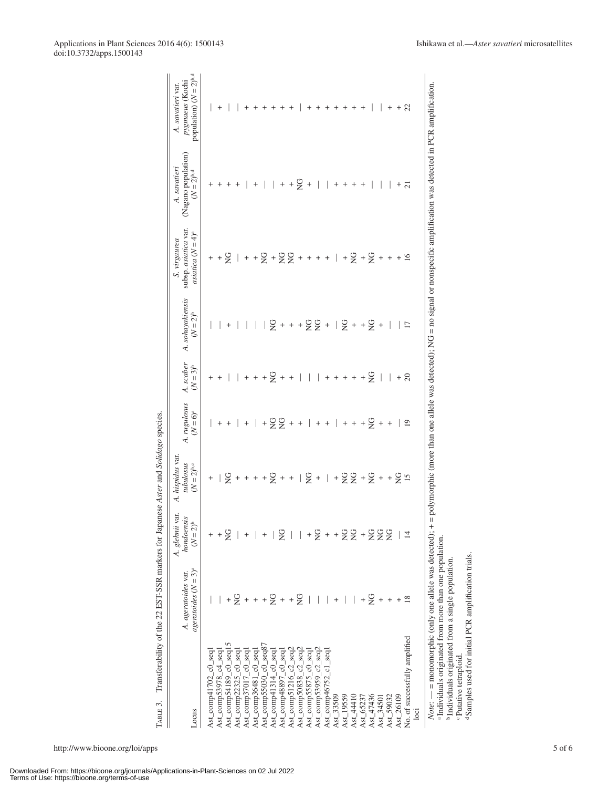| $+ + 8$<br>$\qquad \qquad +$<br>$^{+}$<br>$^{+}$<br>$+$<br>$+$<br>$+$<br>$^{+}$<br>$^{+}$<br>$^{+}$<br>$^{+}$<br>$^{+}$<br>$^{+}$<br>$^{+}$<br>$^{+}$<br>S<br>$^+$<br>$+$<br>$^{+}$<br>$\qquad \qquad +$<br>$^+$<br>$\overline{21}$<br>$+$ +<br>$+$<br>$^{+}$<br>$\qquad \qquad +$<br>$\qquad \qquad +$<br>$^{+}$<br>$\! + \!\!\!\!$<br>$+ + 9 +$<br>$+ + 2 + 22 + + + + +$<br>g<br>g<br>$+$ $\frac{6}{5}$<br>$\overline{+}$<br>$+$<br>$\, +$<br>$2 + + + 22 + 12 + + 2$<br>$\qquad \qquad +$<br>$\overline{17}$<br>$^{+}$<br>$+Q$<br>$\frac{C}{Z}$<br>20<br>$\ddot{}$<br>$+$<br>$^+$<br>$  + +$<br>$\, +$<br>$\! + \!\!\!\!$<br>$^{+}$<br>$+$ +<br>$+$<br>$+$<br>g<br>$+ 22 +$<br>19<br>$^+$<br>$  + +$<br>$+ +$<br>$^{+}$<br>$\,$ +<br>$\,$ + $\,$<br>$\qquad \qquad +$<br>$^{+}$<br>$+$<br>$+   Q + + + +   Q + +   Q +   + Q Q +   +$<br>$\frac{15}{2}$<br>$\ddot{\phantom{1}}$<br>1 + 1 2 1 1 + 2 + + 2 2 + 2 2 2<br>S<br>$\overline{14}$<br>$+$ +<br>$+$<br>$+2$ + + + 2 + + 2      <br>$+Q$<br>$\ddot{}$<br>$+ \frac{\infty}{2}$<br>$^{+}$<br>No. of successfully amplified<br>Ast_comp55030_c0_seq87<br>Ast_comp50838_c2_seq2<br>Ast_comp53959_c2_seq2<br>Ast_comp41314_c0_seq1<br>Ast_comp51216_c2_seq2<br>Ast_comp55875_c0_seq1<br>Ast_comp46752_c1_seq1<br>Ast_comp41702_c0_seq1<br>Ast_comp36481_c0_seq1<br>Ast_comp48897_c0_seq1<br>Ast_44410<br>Ast_33509<br>Ast_19559<br>Ast_47436<br>Ast_26109<br>Ast_59032<br>Ast_65237<br>Ast_34501 | $\overline{\log}$ | = monomorphic (only one allele was detected); +<br>aIndividuals originated from more than one population.<br>$Note:$ $-$ |  |
|-------------------------------------------------------------------------------------------------------------------------------------------------------------------------------------------------------------------------------------------------------------------------------------------------------------------------------------------------------------------------------------------------------------------------------------------------------------------------------------------------------------------------------------------------------------------------------------------------------------------------------------------------------------------------------------------------------------------------------------------------------------------------------------------------------------------------------------------------------------------------------------------------------------------------------------------------------------------------------------------------------------------------------------------------------------------------------------------------------------------------------------------------------------------------------------------------------------------------------------------------------------------------------------------------------------------------------------------------------------------------------------------------------------------------------------------------------|-------------------|--------------------------------------------------------------------------------------------------------------------------|--|
| Ast_comp53978_c4_seq1<br>Ast_comp54189_c0_seq15<br>Ast_comp22325_c0_seq1<br>Ast_comp37017_c0_seq1                                                                                                                                                                                                                                                                                                                                                                                                                                                                                                                                                                                                                                                                                                                                                                                                                                                                                                                                                                                                                                                                                                                                                                                                                                                                                                                                                     |                   |                                                                                                                          |  |
|                                                                                                                                                                                                                                                                                                                                                                                                                                                                                                                                                                                                                                                                                                                                                                                                                                                                                                                                                                                                                                                                                                                                                                                                                                                                                                                                                                                                                                                       |                   |                                                                                                                          |  |
|                                                                                                                                                                                                                                                                                                                                                                                                                                                                                                                                                                                                                                                                                                                                                                                                                                                                                                                                                                                                                                                                                                                                                                                                                                                                                                                                                                                                                                                       |                   |                                                                                                                          |  |
|                                                                                                                                                                                                                                                                                                                                                                                                                                                                                                                                                                                                                                                                                                                                                                                                                                                                                                                                                                                                                                                                                                                                                                                                                                                                                                                                                                                                                                                       |                   |                                                                                                                          |  |
|                                                                                                                                                                                                                                                                                                                                                                                                                                                                                                                                                                                                                                                                                                                                                                                                                                                                                                                                                                                                                                                                                                                                                                                                                                                                                                                                                                                                                                                       |                   |                                                                                                                          |  |
|                                                                                                                                                                                                                                                                                                                                                                                                                                                                                                                                                                                                                                                                                                                                                                                                                                                                                                                                                                                                                                                                                                                                                                                                                                                                                                                                                                                                                                                       |                   |                                                                                                                          |  |
|                                                                                                                                                                                                                                                                                                                                                                                                                                                                                                                                                                                                                                                                                                                                                                                                                                                                                                                                                                                                                                                                                                                                                                                                                                                                                                                                                                                                                                                       |                   |                                                                                                                          |  |
|                                                                                                                                                                                                                                                                                                                                                                                                                                                                                                                                                                                                                                                                                                                                                                                                                                                                                                                                                                                                                                                                                                                                                                                                                                                                                                                                                                                                                                                       |                   |                                                                                                                          |  |
|                                                                                                                                                                                                                                                                                                                                                                                                                                                                                                                                                                                                                                                                                                                                                                                                                                                                                                                                                                                                                                                                                                                                                                                                                                                                                                                                                                                                                                                       |                   |                                                                                                                          |  |
|                                                                                                                                                                                                                                                                                                                                                                                                                                                                                                                                                                                                                                                                                                                                                                                                                                                                                                                                                                                                                                                                                                                                                                                                                                                                                                                                                                                                                                                       |                   |                                                                                                                          |  |
|                                                                                                                                                                                                                                                                                                                                                                                                                                                                                                                                                                                                                                                                                                                                                                                                                                                                                                                                                                                                                                                                                                                                                                                                                                                                                                                                                                                                                                                       |                   |                                                                                                                          |  |
|                                                                                                                                                                                                                                                                                                                                                                                                                                                                                                                                                                                                                                                                                                                                                                                                                                                                                                                                                                                                                                                                                                                                                                                                                                                                                                                                                                                                                                                       |                   |                                                                                                                          |  |
|                                                                                                                                                                                                                                                                                                                                                                                                                                                                                                                                                                                                                                                                                                                                                                                                                                                                                                                                                                                                                                                                                                                                                                                                                                                                                                                                                                                                                                                       |                   |                                                                                                                          |  |
|                                                                                                                                                                                                                                                                                                                                                                                                                                                                                                                                                                                                                                                                                                                                                                                                                                                                                                                                                                                                                                                                                                                                                                                                                                                                                                                                                                                                                                                       |                   |                                                                                                                          |  |
|                                                                                                                                                                                                                                                                                                                                                                                                                                                                                                                                                                                                                                                                                                                                                                                                                                                                                                                                                                                                                                                                                                                                                                                                                                                                                                                                                                                                                                                       |                   |                                                                                                                          |  |
|                                                                                                                                                                                                                                                                                                                                                                                                                                                                                                                                                                                                                                                                                                                                                                                                                                                                                                                                                                                                                                                                                                                                                                                                                                                                                                                                                                                                                                                       |                   |                                                                                                                          |  |
|                                                                                                                                                                                                                                                                                                                                                                                                                                                                                                                                                                                                                                                                                                                                                                                                                                                                                                                                                                                                                                                                                                                                                                                                                                                                                                                                                                                                                                                       |                   |                                                                                                                          |  |
|                                                                                                                                                                                                                                                                                                                                                                                                                                                                                                                                                                                                                                                                                                                                                                                                                                                                                                                                                                                                                                                                                                                                                                                                                                                                                                                                                                                                                                                       |                   |                                                                                                                          |  |
|                                                                                                                                                                                                                                                                                                                                                                                                                                                                                                                                                                                                                                                                                                                                                                                                                                                                                                                                                                                                                                                                                                                                                                                                                                                                                                                                                                                                                                                       |                   |                                                                                                                          |  |
|                                                                                                                                                                                                                                                                                                                                                                                                                                                                                                                                                                                                                                                                                                                                                                                                                                                                                                                                                                                                                                                                                                                                                                                                                                                                                                                                                                                                                                                       |                   |                                                                                                                          |  |
|                                                                                                                                                                                                                                                                                                                                                                                                                                                                                                                                                                                                                                                                                                                                                                                                                                                                                                                                                                                                                                                                                                                                                                                                                                                                                                                                                                                                                                                       |                   |                                                                                                                          |  |
| = polymorphic (more than one allele was detected); NG = no signal or nonspecific amplification was detected in PCR amplification.                                                                                                                                                                                                                                                                                                                                                                                                                                                                                                                                                                                                                                                                                                                                                                                                                                                                                                                                                                                                                                                                                                                                                                                                                                                                                                                     |                   |                                                                                                                          |  |
| <sup>b</sup> Individuals originated from a single population.                                                                                                                                                                                                                                                                                                                                                                                                                                                                                                                                                                                                                                                                                                                                                                                                                                                                                                                                                                                                                                                                                                                                                                                                                                                                                                                                                                                         |                   |                                                                                                                          |  |
|                                                                                                                                                                                                                                                                                                                                                                                                                                                                                                                                                                                                                                                                                                                                                                                                                                                                                                                                                                                                                                                                                                                                                                                                                                                                                                                                                                                                                                                       |                   | <sup>d</sup> Samples used for initial PCR amplification trials.<br><sup>c</sup> Putative tetraploid.                     |  |